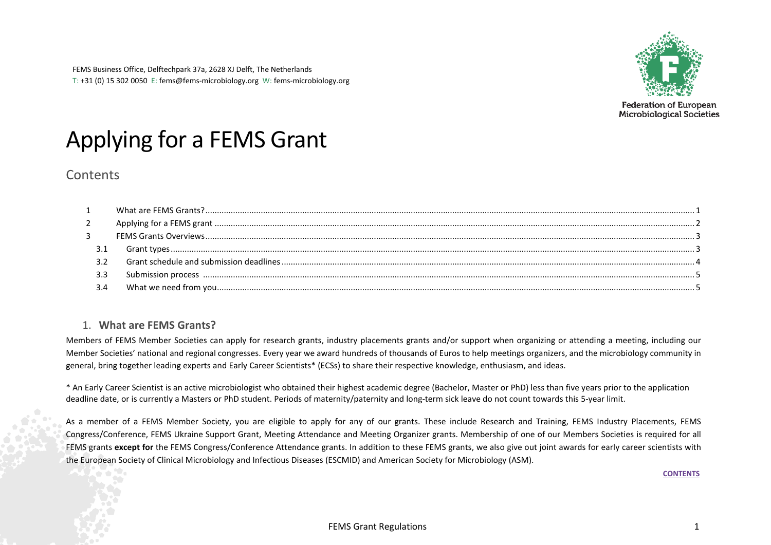

# <span id="page-0-1"></span>Applying for a FEMS Grant

# **Contents**

## 1. **What are FEMS Grants?**

<span id="page-0-0"></span>Members of FEMS Member Societies can apply for research grants, industry placements grants and/or support when organizing or attending a meeting, including our Member Societies' national and regional congresses. Every year we award hundreds of thousands of Euros to help meetings organizers, and the microbiology community in general, bring together leading experts and Early Career Scientists\* (ECSs) to share their respective knowledge, enthusiasm, and ideas.

\* An Early Career Scientist is an active microbiologist who obtained their highest academic degree (Bachelor, Master or PhD) less than five years prior to the application deadline date, or is currently a Masters or PhD student. Periods of maternity/paternity and long-term sick leave do not count towards this 5-year limit.

As a member of a FEMS Member Society, you are eligible to apply for any of our grants. These include Research and Training, FEMS Industry Placements, FEMS Congress/Conference, FEMS Ukraine Support Grant, Meeting Attendance and Meeting Organizer grants. Membership of one of our Members Societies is required for all FEMS grants **except for** the FEMS Congress/Conference Attendance grants. In addition to these FEMS grants, we also give out joint awards for early career scientists with the European Society of Clinical Microbiology and Infectious Diseases (ESCMID) and American Society for Microbiology (ASM).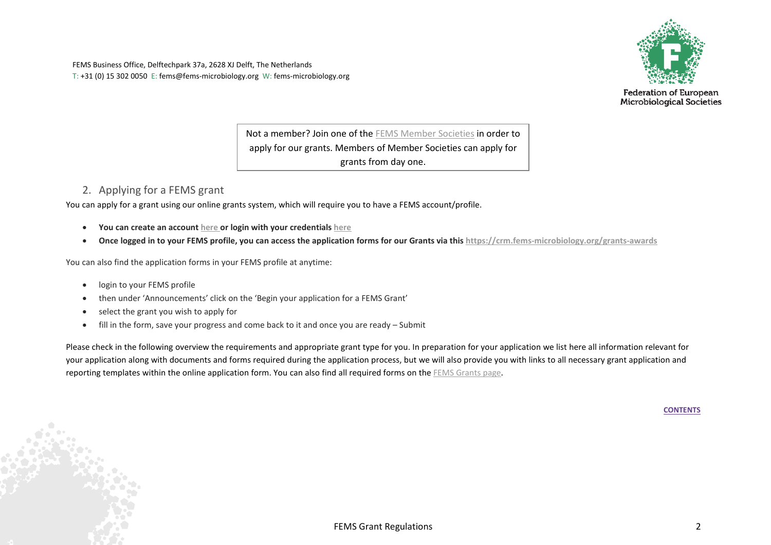FEMS Business Office, Delftechpark 37a, 2628 XJ Delft, The Netherlands T: +31 (0) 15 302 0050 E: fems@fems-microbiology.org W: fems-microbiology.org



**Federation of European** Microbiological Societies

Not a member? Join one of the [FEMS Member Societies](https://fems-microbiology.org/member-societies/) in order to apply for our grants. Members of Member Societies can apply for grants from day one.

# <span id="page-1-0"></span>2. Applying for a FEMS grant

You can apply for a grant using our online grants system, which will require you to have a FEMS account/profile.

- **You can create an account [here o](https://crm.fems-microbiology.org/ssp/register)r login with your credential[s here](https://crm.fems-microbiology.org/user/login)**
- **Once logged in to your FEMS profile, you can access the application forms for our Grants via thi[s https://crm.fems-microbiology.org/grants-awards](https://crm.fems-microbiology.org/grants-awards)**

You can also find the application forms in your FEMS profile at anytime:

- login to your FEMS profile
- then under 'Announcements' click on the 'Begin your application for a FEMS Grant'
- select the grant you wish to apply for
- fill in the form, save your progress and come back to it and once you are ready Submit

Please check in the following overview the requirements and appropriate grant type for you. In preparation for your application we list here all information relevant for your application along with documents and forms required during the application process, but we will also provide you with links to all necessary grant application and reporting templates within the online application form. You can also find all required forms on the [FEMS Grants page.](https://fems-microbiology.org/fems-activities/grants/grants-documents/)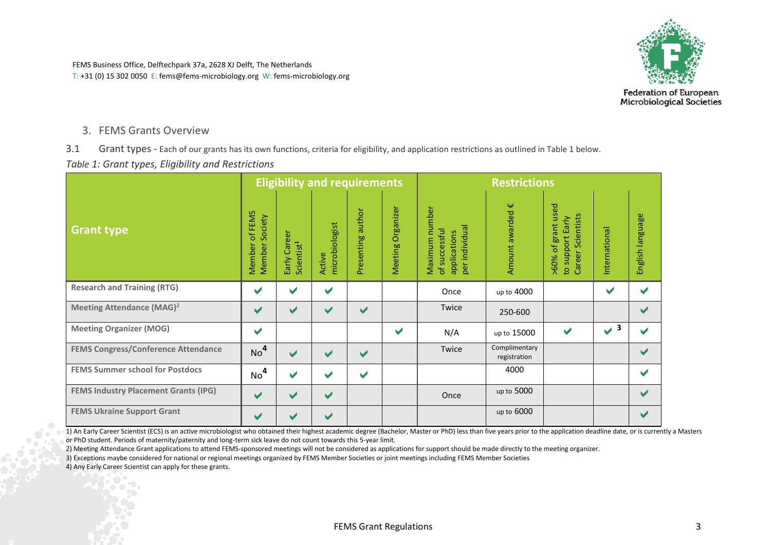

**Federation of European Microbiological Societies** 

### <span id="page-2-0"></span>3. FEMS Grants Overview

<span id="page-2-1"></span>3.1 Grant types - Each of our grants has its own functions, criteria for eligibility, and application restrictions as outlined in Table 1 below.

*Table 1: Grant types, Eligibility and Restrictions*

|                                             |                                        |                                        | <b>Eligibility and requirements</b> |                      |                      | <b>Restrictions</b>                                                  |                               |                                                             |                      |                      |  |
|---------------------------------------------|----------------------------------------|----------------------------------------|-------------------------------------|----------------------|----------------------|----------------------------------------------------------------------|-------------------------------|-------------------------------------------------------------|----------------------|----------------------|--|
| <b>Grant type</b>                           | of FEMS<br>Society<br>Member<br>Member | Early Career<br>Scientist <sup>1</sup> | microbiologist<br>Active            | author<br>Presenting | Organizer<br>Meeting | Maximum number<br>individual<br>of successful<br>applications<br>per | Ψ<br>Amount awarded           | >60% of grant used<br>Career Scientists<br>to support Early | International        | English language     |  |
| <b>Research and Training (RTG)</b>          | ✔                                      | V                                      | $\blacktriangledown$                |                      |                      | Once                                                                 | up to 4000                    |                                                             | $\blacktriangledown$ | V                    |  |
| Meeting Attendance (MAG) <sup>2</sup>       | $\blacktriangledown$                   | $\blacktriangledown$                   | V                                   | ✔                    |                      | Twice                                                                | 250-600                       |                                                             |                      | $\blacktriangledown$ |  |
| <b>Meeting Organizer (MOG)</b>              | $\blacktriangleright$                  |                                        |                                     |                      | $\checkmark$         | N/A                                                                  | up to 15000                   | $\blacktriangleright$                                       | $\sqrt{3}$           | ✔                    |  |
| <b>FEMS Congress/Conference Attendance</b>  | No <sup>4</sup>                        | ✔                                      | V                                   | ✔                    |                      | Twice                                                                | Complimentary<br>registration |                                                             |                      | $\blacktriangledown$ |  |
| <b>FEMS Summer school for Postdocs</b>      | No <sup>4</sup>                        | V                                      | V                                   | ✔                    |                      |                                                                      | 4000                          |                                                             |                      | V                    |  |
| <b>FEMS Industry Placement Grants (IPG)</b> | ✔                                      | ✔                                      | $\blacktriangledown$                |                      |                      | Once                                                                 | up to 5000                    |                                                             |                      | $\blacktriangledown$ |  |
| <b>FEMS Ukraine Support Grant</b>           | ✔                                      | ✔                                      | $\blacktriangledown$                |                      |                      |                                                                      | up to 6000                    |                                                             |                      | V                    |  |

1) An Early Career Scientist (ECS) is an active microbiologist who obtained their highest academic degree (Bachelor, Master or PhD) less than five years prior to the application deadline date, or is currently a Masters or PhD student. Periods of maternity/paternity and long-term sick leave do not count towards this 5-year limit.

2) Meeting Attendance Grant applications to attend FEMS-sponsored meetings will not be considered as applications for support should be made directly to the meeting organizer.

3) Exceptions maybe considered for national or regional meetings organized by FEMS Member Societies or joint meetings including FEMS Member Societies

4) Any Early Career Scientist can apply for these grants.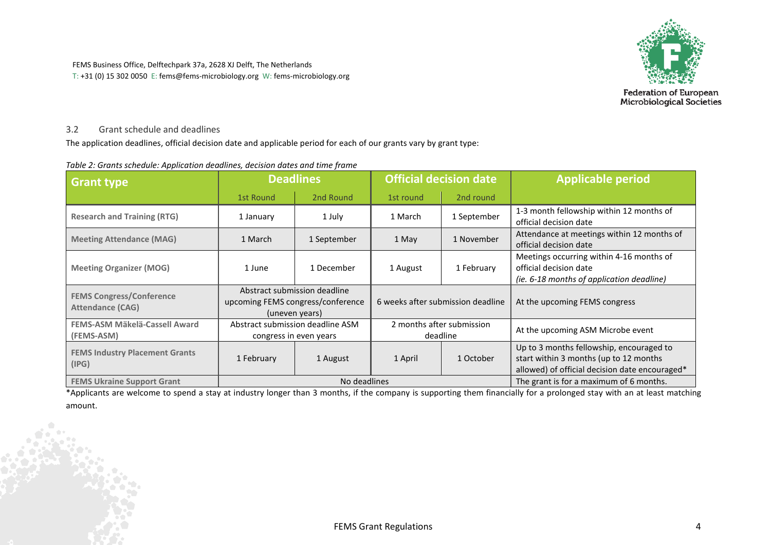

**Federation of European<br>Microbiological Societies** 

#### <span id="page-3-0"></span>3.2 Grant schedule and deadlines

The application deadlines, official decision date and applicable period for each of our grants vary by grant type:

| <b>Grant type</b>                                          | <b>Official decision date</b><br><b>Deadlines</b>       |                                                                                     |          |                                         | <b>Applicable period</b>                                                                                                             |  |
|------------------------------------------------------------|---------------------------------------------------------|-------------------------------------------------------------------------------------|----------|-----------------------------------------|--------------------------------------------------------------------------------------------------------------------------------------|--|
|                                                            | 2nd Round<br>2nd round<br><b>1st Round</b><br>1st round |                                                                                     |          |                                         |                                                                                                                                      |  |
| <b>Research and Training (RTG)</b>                         | 1 July<br>1 January                                     |                                                                                     | 1 March  | 1 September                             | 1-3 month fellowship within 12 months of<br>official decision date                                                                   |  |
| <b>Meeting Attendance (MAG)</b>                            | 1 March<br>1 September                                  |                                                                                     | 1 May    | 1 November                              | Attendance at meetings within 12 months of<br>official decision date                                                                 |  |
| <b>Meeting Organizer (MOG)</b>                             | 1 December<br>1 June                                    |                                                                                     | 1 August | 1 February                              | Meetings occurring within 4-16 months of<br>official decision date<br>(ie. 6-18 months of application deadline)                      |  |
| <b>FEMS Congress/Conference</b><br><b>Attendance (CAG)</b> |                                                         | Abstract submission deadline<br>upcoming FEMS congress/conference<br>(uneven years) |          | 6 weeks after submission deadline       | At the upcoming FEMS congress                                                                                                        |  |
| FEMS-ASM Mäkelä-Cassell Award<br>(FEMS-ASM)                |                                                         | Abstract submission deadline ASM<br>congress in even years                          |          | 2 months after submission<br>deadline   | At the upcoming ASM Microbe event                                                                                                    |  |
| <b>FEMS Industry Placement Grants</b><br>(IPG)             | 1 February                                              | 1 August                                                                            | 1 April  | 1 October                               | Up to 3 months fellowship, encouraged to<br>start within 3 months (up to 12 months<br>allowed) of official decision date encouraged* |  |
| <b>FEMS Ukraine Support Grant</b>                          |                                                         | No deadlines                                                                        |          | The grant is for a maximum of 6 months. |                                                                                                                                      |  |

#### *Table 2: Grants schedule: Application deadlines, decision dates and time frame*

<span id="page-3-1"></span>\*Applicants are welcome to spend a stay at industry longer than 3 months, if the company is supporting them financially for a prolonged stay with an at least matching amount.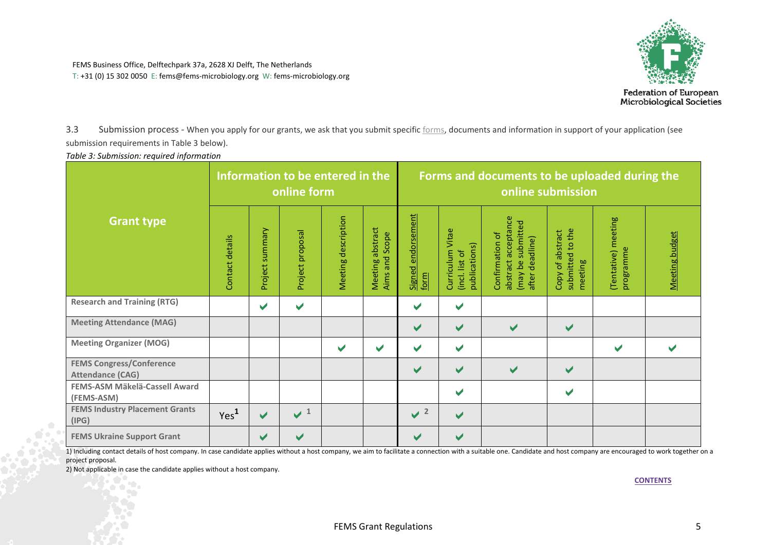

3.3 Submission process - When you apply for our grants, we ask that you submit specifi[c forms,](https://fems-microbiology.org/about_fems/network-and-activities/grants/grants-documents/) documents and information in support of your application (see submission requirements in Table 3 below).

*Table 3: Submission: required information*

|                                                            |                  |                      | Information to be entered in the<br>online form |                       |                                    | Forms and documents to be uploaded during the<br>online submission |                                                     |                                                                                |                                                 |                                  |                |
|------------------------------------------------------------|------------------|----------------------|-------------------------------------------------|-----------------------|------------------------------------|--------------------------------------------------------------------|-----------------------------------------------------|--------------------------------------------------------------------------------|-------------------------------------------------|----------------------------------|----------------|
| <b>Grant type</b>                                          | Contact details  | summary<br>Project   | Project proposal                                | Meeting description   | Meeting abstract<br>Aims and Scope | Signed endorsement<br>form                                         | Curriculum Vitae<br>publications)<br>(incl. list of | abstract acceptance<br>(may be submitted<br>Confirmation of<br>after deadline) | submitted to the<br>Copy of abstract<br>meeting | (Tentative) meeting<br>programme | Meeting budget |
| <b>Research and Training (RTG)</b>                         |                  | ✔                    | $\blacktriangledown$                            |                       |                                    | ✔                                                                  | ✔                                                   |                                                                                |                                                 |                                  |                |
| <b>Meeting Attendance (MAG)</b>                            |                  |                      |                                                 |                       |                                    | ✔                                                                  | ✔                                                   | $\blacktriangledown$                                                           | ✔                                               |                                  |                |
| <b>Meeting Organizer (MOG)</b>                             |                  |                      |                                                 | $\blacktriangleright$ | $\checkmark$                       | $\blacktriangleright$                                              | ✔                                                   |                                                                                |                                                 | ✔                                |                |
| <b>FEMS Congress/Conference</b><br><b>Attendance (CAG)</b> |                  |                      |                                                 |                       |                                    | $\checkmark$                                                       | ✔                                                   | $\blacktriangleright$                                                          | $\checkmark$                                    |                                  |                |
| FEMS-ASM Mäkelä-Cassell Award<br>(FEMS-ASM)                |                  |                      |                                                 |                       |                                    |                                                                    | ✔                                                   |                                                                                | ✔                                               |                                  |                |
| <b>FEMS Industry Placement Grants</b><br>(IPG)             | Yes <sup>1</sup> | $\blacktriangledown$ | $\sqrt{1}$                                      |                       |                                    | $\sqrt{2}$                                                         | ✔                                                   |                                                                                |                                                 |                                  |                |
| <b>FEMS Ukraine Support Grant</b>                          |                  | $\blacktriangledown$ | $\blacktriangleright$                           |                       |                                    | $\blacktriangleright$                                              | ✔                                                   |                                                                                |                                                 |                                  |                |

<span id="page-4-0"></span>1) Including contact details of host company. In case candidate applies without a host company, we aim to facilitate a connection with a suitable one. Candidate and host company are encouraged to work together on a project proposal.

2) Not applicable in case the candidate applies without a host company.

aï.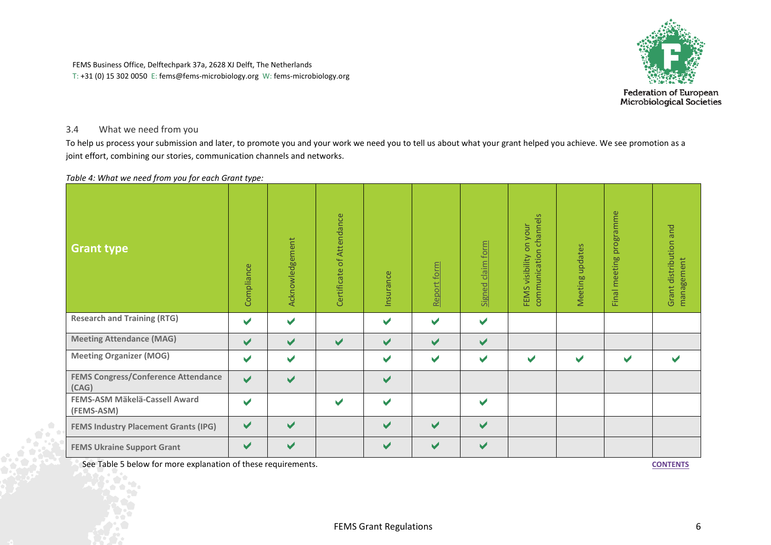

**Federation of European<br>Microbiological Societies** 

### 3.4 What we need from you

To help us process your submission and later, to promote you and your work we need you to tell us about what your grant helped you achieve. We see promotion as a joint effort, combining our stories, communication channels and networks.

*Table 4: What we need from you for each Grant type:*

| <b>Grant type</b>                                   | Compliance           | Acknowledgement | Certificate of Attendance | Insurance             | Report form           | claim form<br>Signed  | channels<br>on your<br>communication<br>visibility<br>FEMS | Meeting updates | programme<br>meeting<br>Final | and<br>Grant distribution<br>management |
|-----------------------------------------------------|----------------------|-----------------|---------------------------|-----------------------|-----------------------|-----------------------|------------------------------------------------------------|-----------------|-------------------------------|-----------------------------------------|
| <b>Research and Training (RTG)</b>                  | ✔                    | ✔               |                           | $\blacktriangleright$ | $\blacktriangleright$ | $\blacktriangledown$  |                                                            |                 |                               |                                         |
| <b>Meeting Attendance (MAG)</b>                     | ✔                    | ✔               | $\blacktriangledown$      | $\blacktriangleright$ | ✔                     | ✔                     |                                                            |                 |                               |                                         |
| <b>Meeting Organizer (MOG)</b>                      | ✔                    | ✔               |                           | $\blacktriangleright$ | $\blacktriangledown$  | $\blacktriangleright$ | $\blacktriangleright$                                      | V               | v                             |                                         |
| <b>FEMS Congress/Conference Attendance</b><br>(CAG) | $\blacktriangledown$ | ✔               |                           | $\blacktriangledown$  |                       |                       |                                                            |                 |                               |                                         |
| FEMS-ASM Mäkelä-Cassell Award<br>(FEMS-ASM)         | ✔                    |                 | ✔                         | $\blacktriangledown$  |                       | $\blacktriangledown$  |                                                            |                 |                               |                                         |
| <b>FEMS Industry Placement Grants (IPG)</b>         | ✔                    | ✔               |                           | $\checkmark$          | $\blacktriangledown$  | $\blacktriangledown$  |                                                            |                 |                               |                                         |
| <b>FEMS Ukraine Support Grant</b>                   | ✔                    | ✔               |                           | V                     | ✔                     | $\blacktriangleright$ |                                                            |                 |                               |                                         |

See Table 5 below for more explanation of these requirements.

J.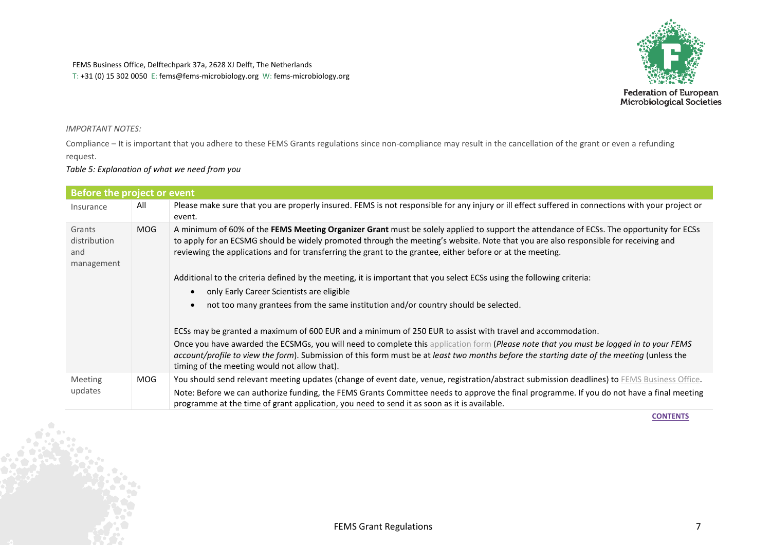

**Federation of European<br>Microbiological Societies** 

#### *IMPORTANT NOTES:*

Compliance – It is important that you adhere to these FEMS Grants regulations since non-compliance may result in the cancellation of the grant or even a refunding request.

#### *Table 5: Explanation of what we need from you*

| Before the project or event                 |            |                                                                                                                                                                                                                                                                                                                                                                                              |
|---------------------------------------------|------------|----------------------------------------------------------------------------------------------------------------------------------------------------------------------------------------------------------------------------------------------------------------------------------------------------------------------------------------------------------------------------------------------|
| Insurance                                   | All        | Please make sure that you are properly insured. FEMS is not responsible for any injury or ill effect suffered in connections with your project or<br>event.                                                                                                                                                                                                                                  |
| Grants<br>distribution<br>and<br>management | <b>MOG</b> | A minimum of 60% of the FEMS Meeting Organizer Grant must be solely applied to support the attendance of ECSs. The opportunity for ECSs<br>to apply for an ECSMG should be widely promoted through the meeting's website. Note that you are also responsible for receiving and<br>reviewing the applications and for transferring the grant to the grantee, either before or at the meeting. |
|                                             |            | Additional to the criteria defined by the meeting, it is important that you select ECSs using the following criteria:                                                                                                                                                                                                                                                                        |
|                                             |            | only Early Career Scientists are eligible                                                                                                                                                                                                                                                                                                                                                    |
|                                             |            | not too many grantees from the same institution and/or country should be selected.                                                                                                                                                                                                                                                                                                           |
|                                             |            | ECSs may be granted a maximum of 600 EUR and a minimum of 250 EUR to assist with travel and accommodation.                                                                                                                                                                                                                                                                                   |
|                                             |            | Once you have awarded the ECSMGs, you will need to complete this application form (Please note that you must be logged in to your FEMS<br>account/profile to view the form). Submission of this form must be at least two months before the starting date of the meeting (unless the<br>timing of the meeting would not allow that).                                                         |
| Meeting                                     | <b>MOG</b> | You should send relevant meeting updates (change of event date, venue, registration/abstract submission deadlines) to FEMS Business Office.                                                                                                                                                                                                                                                  |
| updates                                     |            | Note: Before we can authorize funding, the FEMS Grants Committee needs to approve the final programme. If you do not have a final meeting<br>programme at the time of grant application, you need to send it as soon as it is available.                                                                                                                                                     |